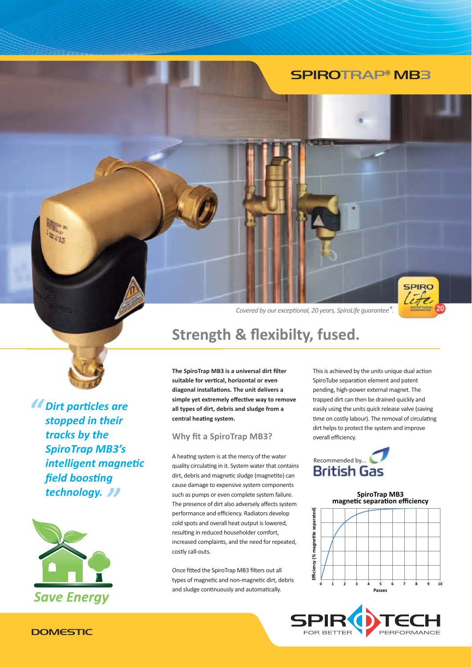### **SPIROTRAP® MB3**



Covered by our exceptional, 20 years, SpiroLife quarantee<sup>\*</sup>.

# **Strength & flexibilty, fused.**

The SpiroTrap MB3 is a universal dirt filter suitable for vertical, horizontal or even diagonal installations. The unit delivers a simple yet extremely effective way to remove all types of dirt, debris and sludge from a central heating system.

### **Why fit a SpiroTrap MB3?**

A heating system is at the mercy of the water quality circulating in it. System water that contains dirt, debris and magnetic sludge (magnetite) can cause damage to expensive system components such as pumps or even complete system failure. The presence of dirt also adversely affects system performance and efficiency. Radiators develop cold spots and overall heat output is lowered. resulting in reduced householder comfort, increased complaints, and the need for repeated, costly call-outs.

Once fitted the SpiroTrap MB3 filters out all types of magnetic and non-magnetic dirt, debris and sludge continuously and automatically.

This is achieved by the units unique dual action SpiroTube separation element and patent pending, high-power external magnet. The trapped dirt can then be drained quickly and easily using the units quick release valve (saving time on costly labour). The removal of circulating dirt helps to protect the system and improve overall efficiency.









*<u>I*</u> Dirt particles are stopped in their tracks by the **SpiroTrap MB3's** intelligent magnetic field boosting technology. //



### **DOMESTIC**